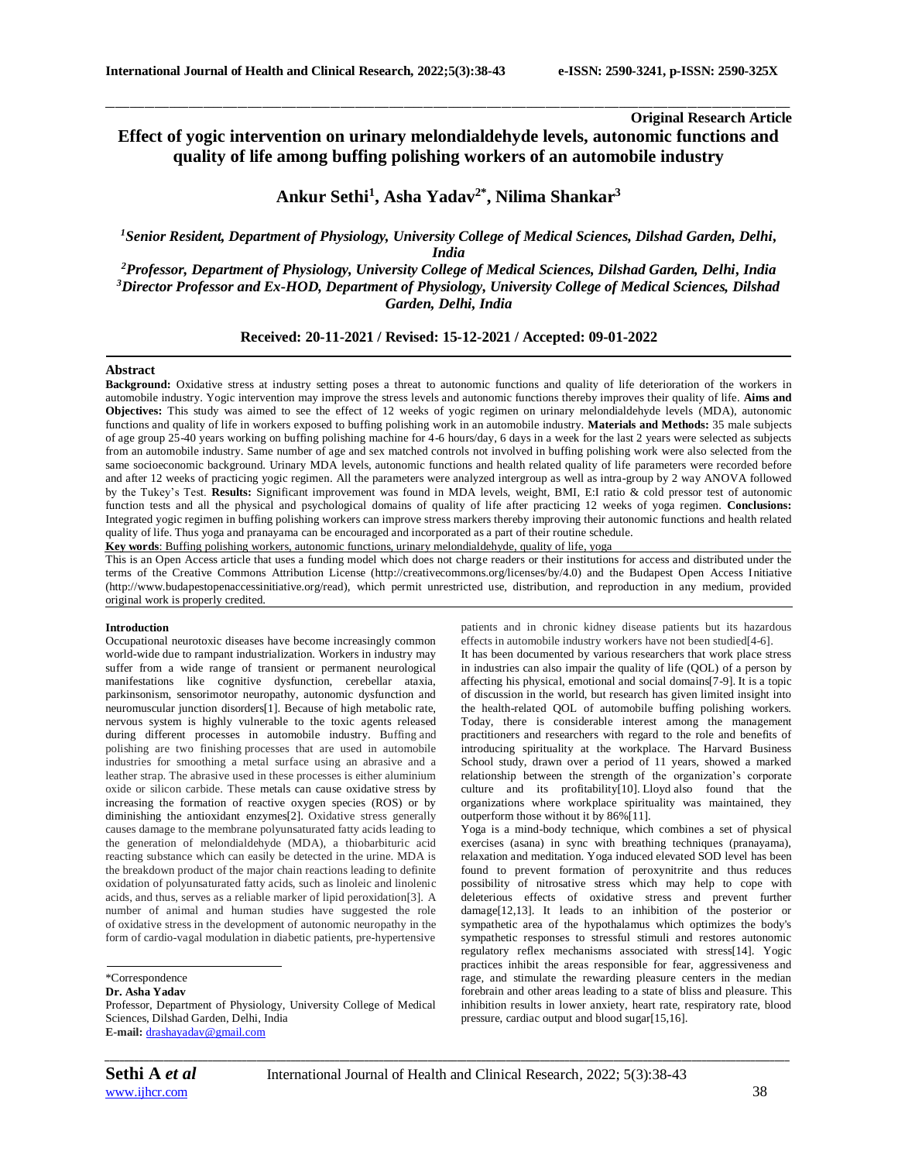## **Original Research Article Effect of yogic intervention on urinary melondialdehyde levels, autonomic functions and quality of life among buffing polishing workers of an automobile industry**

\_\_\_\_\_\_\_\_\_\_\_\_\_\_\_\_\_\_\_\_\_\_\_\_\_\_\_\_\_\_\_\_\_\_\_\_\_\_\_\_\_\_\_\_\_\_\_\_\_\_\_\_\_\_\_\_\_\_\_\_\_\_\_\_\_\_\_\_\_\_\_\_\_\_\_\_\_\_\_\_\_\_\_\_\_\_\_\_\_\_\_\_\_\_\_\_\_\_\_\_\_\_\_\_\_\_\_\_\_\_\_\_\_\_\_\_\_\_\_\_\_\_\_\_\_\_\_\_\_\_\_\_\_\_\_\_\_\_\_\_

# **Ankur Sethi<sup>1</sup> , Asha Yadav2\* , Nilima Shankar<sup>3</sup>**

*<sup>1</sup>Senior Resident, Department of Physiology, University College of Medical Sciences, Dilshad Garden, Delhi, India*

*<sup>2</sup>Professor, Department of Physiology, University College of Medical Sciences, Dilshad Garden, Delhi, India <sup>3</sup>Director Professor and Ex-HOD, Department of Physiology, University College of Medical Sciences, Dilshad Garden, Delhi, India*

## **Received: 20-11-2021 / Revised: 15-12-2021 / Accepted: 09-01-2022**

#### **Abstract**

**Background:** Oxidative stress at industry setting poses a threat to autonomic functions and quality of life deterioration of the workers in automobile industry. Yogic intervention may improve the stress levels and autonomic functions thereby improves their quality of life. **Aims and Objectives:** This study was aimed to see the effect of 12 weeks of yogic regimen on urinary melondialdehyde levels (MDA), autonomic functions and quality of life in workers exposed to buffing polishing work in an automobile industry. **Materials and Methods:** 35 male subjects of age group 25-40 years working on buffing polishing machine for 4-6 hours/day, 6 days in a week for the last 2 years were selected as subjects from an automobile industry. Same number of age and sex matched controls not involved in buffing polishing work were also selected from the same socioeconomic background. Urinary MDA levels, autonomic functions and health related quality of life parameters were recorded before and after 12 weeks of practicing yogic regimen. All the parameters were analyzed intergroup as well as intra-group by 2 way ANOVA followed by the Tukey's Test. **Results:** Significant improvement was found in MDA levels, weight, BMI, E:I ratio & cold pressor test of autonomic function tests and all the physical and psychological domains of quality of life after practicing 12 weeks of yoga regimen. **Conclusions:**  Integrated yogic regimen in buffing polishing workers can improve stress markers thereby improving their autonomic functions and health related quality of life. Thus yoga and pranayama can be encouraged and incorporated as a part of their routine schedule.

**Key words**: Buffing polishing workers, autonomic functions, urinary melondialdehyde, quality of life, yoga

This is an Open Access article that uses a funding model which does not charge readers or their institutions for access and distributed under the terms of the Creative Commons Attribution License (http://creativecommons.org/licenses/by/4.0) and the Budapest Open Access Initiative (http://www.budapestopenaccessinitiative.org/read), which permit unrestricted use, distribution, and reproduction in any medium, provided original work is properly credited.

#### **Introduction**

Occupational neurotoxic diseases have become increasingly common world-wide due to rampant industrialization. Workers in industry may suffer from a wide range of transient or permanent neurological manifestations like cognitive dysfunction, cerebellar ataxia, parkinsonism, sensorimotor neuropathy, autonomic dysfunction and neuromuscular junction disorders[1]. Because of high metabolic rate, nervous system is highly vulnerable to the toxic agents released during different processes in automobile industry. Buffing and polishing are two [finishing](http://en.wikipedia.org/wiki/Finishing_(manufacturing)) processes that are used in automobile industries for smoothing a metal surface using an abrasive and a leather [strap.](http://en.wikipedia.org/wiki/Razor_strop) The abrasive used in these processes is either aluminium oxide or silicon carbide. These metals can cause oxidative stress by increasing the formation of reactive oxygen species (ROS) or by diminishing the antioxidant enzymes[2]. Oxidative stress generally causes damage to the membrane polyunsaturated fatty acids leading to the generation of melondialdehyde (MDA), a thiobarbituric acid reacting substance which can easily be detected in the urine. MDA is the breakdown product of the major chain reactions leading to definite oxidation of polyunsaturated fatty acids, such as linoleic and linolenic acids, and thus, serves as a reliable marker of lipid peroxidation[3]. A number of animal and human studies have suggested the role of oxidative stress in the development of autonomic neuropathy in the form of cardio-vagal modulation in diabetic patients, pre-hypertensive

\*Correspondence

### **Dr. Asha Yadav**

Professor, Department of Physiology, University College of Medical Sciences, Dilshad Garden, Delhi, India **E-mail:** [drashayadav@gmail.com](mailto:drashayadav@gmail.com)

patients and in chronic kidney disease patients but its hazardous effects in automobile industry workers have not been studied[4-6]. It has been documented by various researchers that work place stress in industries can also impair the quality of life (QOL) of a person by affecting his physical, emotional and social domains[7-9]. It is a topic of discussion in the world, but research has given limited insight into

the health-related QOL of automobile buffing polishing workers. Today, there is considerable interest among the management practitioners and researchers with regard to the role and benefits of introducing spirituality at the workplace. The Harvard Business School study, drawn over a period of 11 years, showed a marked relationship between the strength of the organization's corporate culture and its profitability[10]. Lloyd also found that the organizations where workplace spirituality was maintained, they outperform those without it by 86%[11].

Yoga is a mind-body technique, which combines a set of physical exercises (asana) in sync with breathing techniques (pranayama), relaxation and meditation. Yoga induced elevated SOD level has been found to prevent formation of peroxynitrite and thus reduces possibility of nitrosative stress which may help to cope with deleterious effects of oxidative stress and prevent further damage[12,13]. It leads to an inhibition of the posterior or sympathetic area of the hypothalamus which optimizes the body's sympathetic responses to stressful stimuli and restores autonomic regulatory reflex mechanisms associated with stress[14]. Yogic practices inhibit the areas responsible for fear, aggressiveness and rage, and stimulate the rewarding pleasure centers in the median forebrain and other areas leading to a state of bliss and pleasure. This inhibition results in lower anxiety, heart rate, respiratory rate, blood pressure, cardiac output and blood sugar[15,16].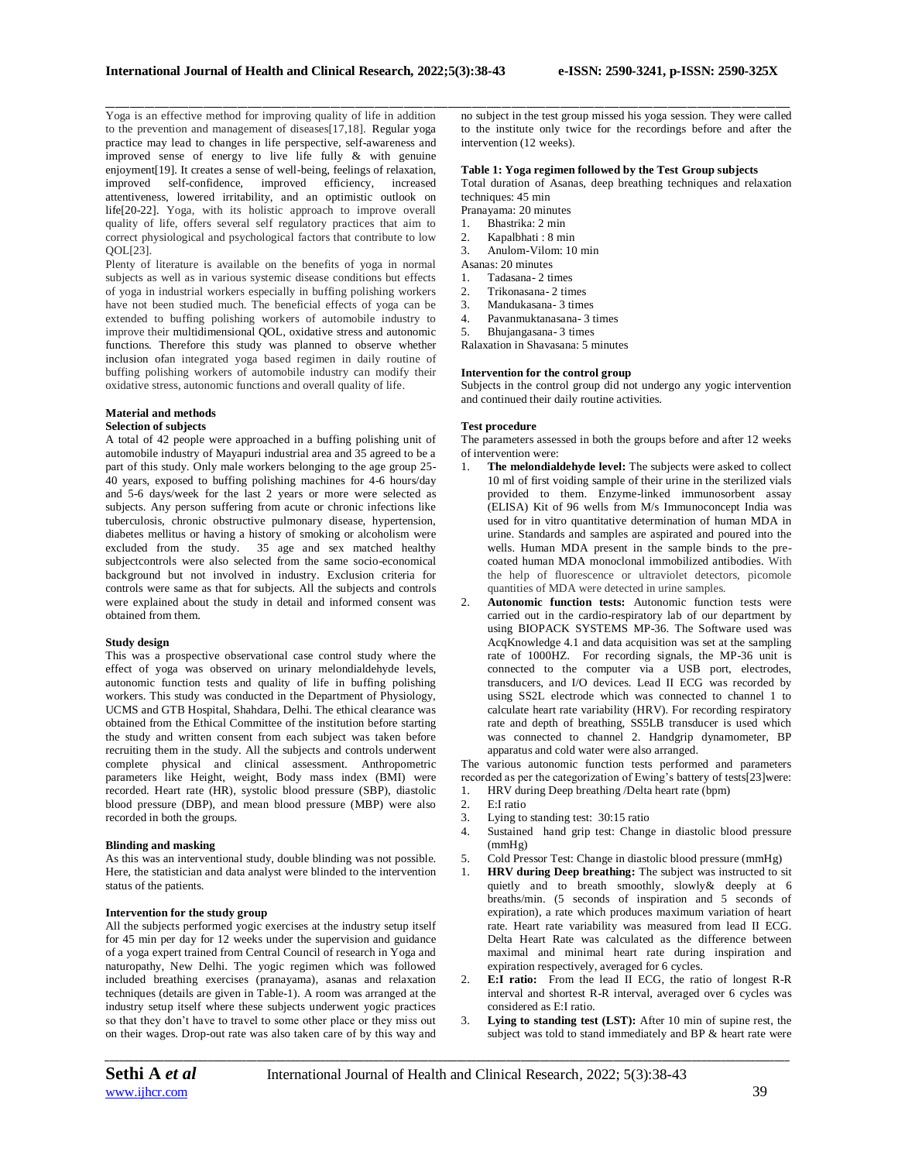Yoga is an effective method for improving quality of life in addition to the prevention and management of diseases[17,18]. Regular yoga practice may lead to changes in life perspective, self-awareness and improved sense of energy to live life fully & with genuine enjoyment[19]. It creates a sense of well-being, feelings of relaxation, improved self-confidence, improved efficiency, increased attentiveness, lowered irritability, and an optimistic outlook on life[20-22]. Yoga, with its holistic approach to improve overall quality of life, offers several self regulatory practices that aim to correct physiological and psychological factors that contribute to low QOL[23].

Plenty of literature is available on the benefits of yoga in normal subjects as well as in various systemic disease conditions but effects of yoga in industrial workers especially in buffing polishing workers have not been studied much. The beneficial effects of yoga can be extended to buffing polishing workers of automobile industry to improve their multidimensional QOL, oxidative stress and autonomic functions. Therefore this study was planned to observe whether inclusion ofan integrated yoga based regimen in daily routine of buffing polishing workers of automobile industry can modify their oxidative stress, autonomic functions and overall quality of life.

# **Material and methods**

## **Selection of subjects**

A total of 42 people were approached in a buffing polishing unit of automobile industry of Mayapuri industrial area and 35 agreed to be a part of this study. Only male workers belonging to the age group 25- 40 years, exposed to buffing polishing machines for 4-6 hours/day and 5-6 days/week for the last 2 years or more were selected as subjects. Any person suffering from acute or chronic infections like tuberculosis, chronic obstructive pulmonary disease, hypertension, diabetes mellitus or having a history of smoking or alcoholism were excluded from the study. 35 age and sex matched healthy subjectcontrols were also selected from the same socio-economical background but not involved in industry. Exclusion criteria for controls were same as that for subjects. All the subjects and controls were explained about the study in detail and informed consent was obtained from them.

#### **Study design**

This was a prospective observational case control study where the effect of yoga was observed on urinary melondialdehyde levels, autonomic function tests and quality of life in buffing polishing workers. This study was conducted in the Department of Physiology, UCMS and GTB Hospital, Shahdara, Delhi. The ethical clearance was obtained from the Ethical Committee of the institution before starting the study and written consent from each subject was taken before recruiting them in the study. All the subjects and controls underwent complete physical and clinical assessment. Anthropometric parameters like Height, weight, Body mass index (BMI) were recorded. Heart rate (HR), systolic blood pressure (SBP), diastolic blood pressure (DBP), and mean blood pressure (MBP) were also recorded in both the groups.

#### **Blinding and masking**

As this was an interventional study, double blinding was not possible. Here, the statistician and data analyst were blinded to the intervention status of the patients.

#### **Intervention for the study group**

All the subjects performed yogic exercises at the industry setup itself for 45 min per day for 12 weeks under the supervision and guidance of a yoga expert trained from Central Council of research in Yoga and naturopathy, New Delhi. The yogic regimen which was followed included breathing exercises (pranayama), asanas and relaxation techniques (details are given in Table-1). A room was arranged at the industry setup itself where these subjects underwent yogic practices so that they don't have to travel to some other place or they miss out on their wages. Drop-out rate was also taken care of by this way and

\_\_\_\_\_\_\_\_\_\_\_\_\_\_\_\_\_\_\_\_\_\_\_\_\_\_\_\_\_\_\_\_\_\_\_\_\_\_\_\_\_\_\_\_\_\_\_\_\_\_\_\_\_\_\_\_\_\_\_\_\_\_\_\_\_\_\_\_\_\_\_\_\_\_\_\_\_\_\_\_\_\_\_\_\_\_\_\_\_\_\_\_\_\_\_\_\_\_\_\_\_\_\_\_\_\_\_\_\_\_\_\_\_\_\_\_\_\_\_\_\_\_\_\_\_\_\_\_\_\_\_\_\_\_\_\_\_\_\_\_ no subject in the test group missed his yoga session. They were called to the institute only twice for the recordings before and after the intervention (12 weeks).

#### **Table 1: Yoga regimen followed by the Test Group subjects**

Total duration of Asanas, deep breathing techniques and relaxation techniques: 45 min

- Pranayama: 20 minutes
- 1. Bhastrika: 2 min
- 2. Kapalbhati : 8 min
- 3. Anulom-Vilom: 10 min
- Asanas: 20 minutes
- 1. Tadasana-2 times<br>2. Trikonasana-2 tin
- 2. Trikonasana- 2 times
- 3. Mandukasana- 3 times
- 4. Pavanmuktanasana- 3 times
- 5. Bhujangasana- 3 times Ralaxation in Shavasana: 5 minutes
- 

### **Intervention for the control group**

Subjects in the control group did not undergo any yogic intervention and continued their daily routine activities.

#### **Test procedure**

The parameters assessed in both the groups before and after 12 weeks of intervention were:

- 1. **The melondialdehyde level:** The subjects were asked to collect 10 ml of first voiding sample of their urine in the sterilized vials provided to them. Enzyme-linked immunosorbent assay (ELISA) Kit of 96 wells from M/s Immunoconcept India was used for in vitro quantitative determination of human MDA in urine. Standards and samples are aspirated and poured into the wells. Human MDA present in the sample binds to the precoated human MDA monoclonal immobilized antibodies. With the help of fluorescence or ultraviolet detectors, picomole quantities of MDA were detected in urine samples.
- 2. **Autonomic function tests:** Autonomic function tests were carried out in the cardio-respiratory lab of our department by using BIOPACK SYSTEMS MP-36. The Software used was AcqKnowledge 4.1 and data acquisition was set at the sampling rate of 1000HZ. For recording signals, the MP-36 unit is connected to the computer via a USB port, electrodes, transducers, and I/O devices. Lead II ECG was recorded by using SS2L electrode which was connected to channel 1 to calculate heart rate variability (HRV). For recording respiratory rate and depth of breathing, SS5LB transducer is used which was connected to channel 2. Handgrip dynamometer, BP apparatus and cold water were also arranged.

The various autonomic function tests performed and parameters recorded as per the categorization of Ewing's battery of tests[23]were:<br>1. HRV during Deep breathing /Delta heart rate (bpm) 1. HRV during Deep breathing /Delta heart rate (bpm)

- 2. E:I ratio
- 3. Lying to standing test: 30:15 ratio
- 4. Sustained hand grip test: Change in diastolic blood pressure  $(mmHg)$
- 5. Cold Pressor Test: Change in diastolic blood pressure (mmHg)
- 1. **HRV during Deep breathing:** The subject was instructed to sit quietly and to breath smoothly, slowly& deeply at 6 breaths/min. (5 seconds of inspiration and 5 seconds of expiration), a rate which produces maximum variation of heart rate. Heart rate variability was measured from lead II ECG. Delta Heart Rate was calculated as the difference between maximal and minimal heart rate during inspiration and expiration respectively, averaged for 6 cycles.
- 2. **E:I ratio:** From the lead II ECG, the ratio of longest R-R interval and shortest R-R interval, averaged over 6 cycles was considered as E:I ratio.
- 3. **Lying to standing test (LST):** After 10 min of supine rest, the subject was told to stand immediately and BP & heart rate were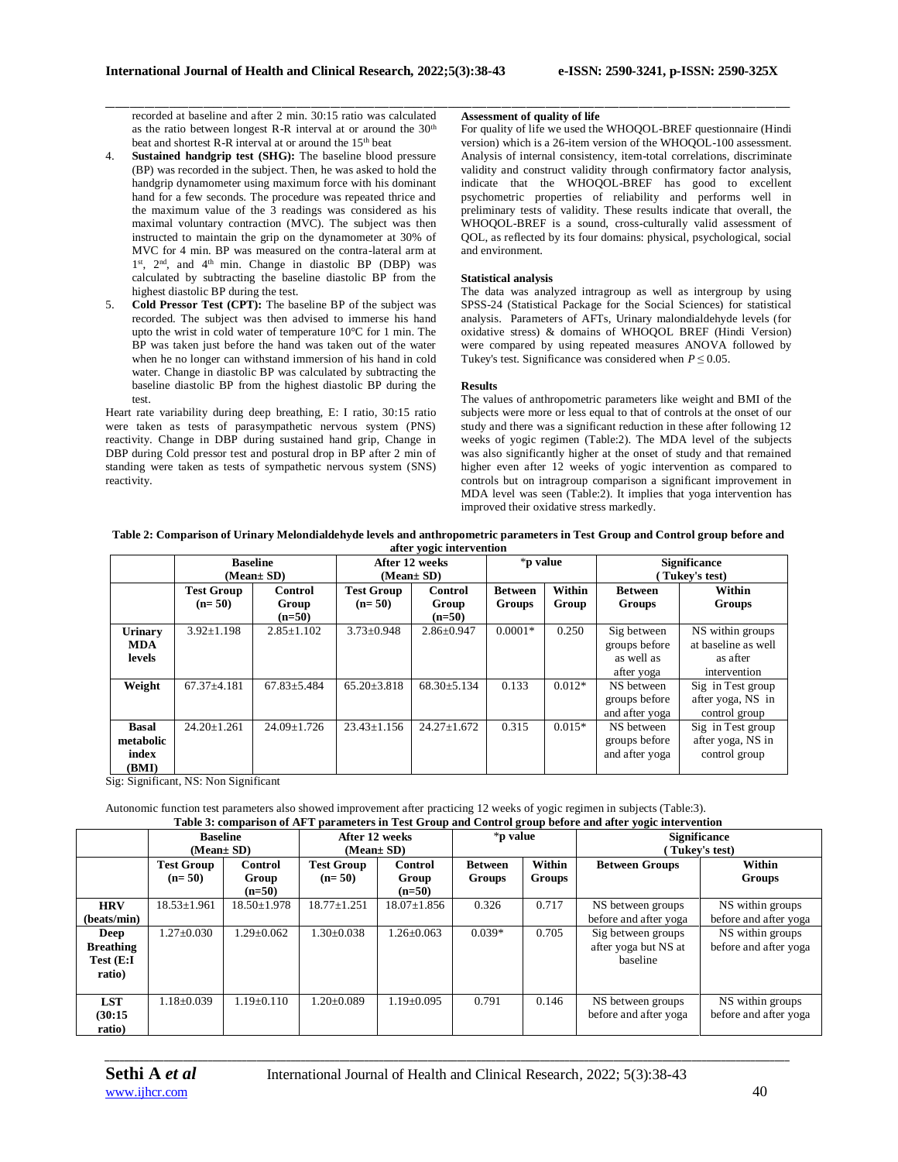recorded at baseline and after 2 min. 30:15 ratio was calculated as the ratio between longest R-R interval at or around the  $30<sup>th</sup>$ beat and shortest R-R interval at or around the 15<sup>th</sup> beat

- 4. **Sustained handgrip test (SHG):** The baseline blood pressure (BP) was recorded in the subject. Then, he was asked to hold the handgrip dynamometer using maximum force with his dominant hand for a few seconds. The procedure was repeated thrice and the maximum value of the 3 readings was considered as his maximal voluntary contraction (MVC). The subject was then instructed to maintain the grip on the dynamometer at 30% of MVC for 4 min. BP was measured on the contra-lateral arm at 1<sup>st</sup>, 2<sup>nd</sup>, and 4<sup>th</sup> min. Change in diastolic BP (DBP) was calculated by subtracting the baseline diastolic BP from the highest diastolic BP during the test.
- 5. **Cold Pressor Test (CPT):** The baseline BP of the subject was recorded. The subject was then advised to immerse his hand upto the wrist in cold water of temperature 10°C for 1 min. The BP was taken just before the hand was taken out of the water when he no longer can withstand immersion of his hand in cold water. Change in diastolic BP was calculated by subtracting the baseline diastolic BP from the highest diastolic BP during the test.

Heart rate variability during deep breathing, E: I ratio, 30:15 ratio were taken as tests of parasympathetic nervous system (PNS) reactivity. Change in DBP during sustained hand grip, Change in DBP during Cold pressor test and postural drop in BP after 2 min of standing were taken as tests of sympathetic nervous system (SNS) reactivity.

#### **Assessment of quality of life**

\_\_\_\_\_\_\_\_\_\_\_\_\_\_\_\_\_\_\_\_\_\_\_\_\_\_\_\_\_\_\_\_\_\_\_\_\_\_\_\_\_\_\_\_\_\_\_\_\_\_\_\_\_\_\_\_\_\_\_\_\_\_\_\_\_\_\_\_\_\_\_\_\_\_\_\_\_\_\_\_\_\_\_\_\_\_\_\_\_\_\_\_\_\_\_\_\_\_\_\_\_\_\_\_\_\_\_\_\_\_\_\_\_\_\_\_\_\_\_\_\_\_\_\_\_\_\_\_\_\_\_\_\_\_\_\_\_\_\_\_

For quality of life we used the WHOQOL-BREF questionnaire (Hindi version) which is a 26-item version of the WHOQOL-100 assessment. Analysis of internal consistency, item-total correlations, discriminate validity and construct validity through confirmatory factor analysis, indicate that the WHOQOL-BREF has good to excellent psychometric properties of reliability and performs well in preliminary tests of validity. These results indicate that overall, the WHOQOL-BREF is a sound, cross-culturally valid assessment of QOL, as reflected by its four domains: physical, psychological, social and environment.

#### **Statistical analysis**

The data was analyzed intragroup as well as intergroup by using SPSS-24 (Statistical Package for the Social Sciences) for statistical analysis. Parameters of AFTs, Urinary malondialdehyde levels (for oxidative stress) & domains of WHOQOL BREF (Hindi Version) were compared by using repeated measures ANOVA followed by Tukey's test. Significance was considered when  $P \leq 0.05$ .

#### **Results**

The values of anthropometric parameters like weight and BMI of the subjects were more or less equal to that of controls at the onset of our study and there was a significant reduction in these after following 12 weeks of yogic regimen (Table:2). The MDA level of the subjects was also significantly higher at the onset of study and that remained higher even after 12 weeks of yogic intervention as compared to controls but on intragroup comparison a significant improvement in MDA level was seen (Table:2). It implies that yoga intervention has improved their oxidative stress markedly.

#### **Table 2: Comparison of Urinary Melondialdehyde levels and anthropometric parameters in Test Group and Control group before and after yogic intervention**

|                                             |                               | <b>Baseline</b><br>$(Mean \pm SD)$  |                               | After 12 weeks<br>$(Mean \pm SD)$ | *p value                 |                 | <b>Significance</b><br>Tukey's test)                     |                                                                     |
|---------------------------------------------|-------------------------------|-------------------------------------|-------------------------------|-----------------------------------|--------------------------|-----------------|----------------------------------------------------------|---------------------------------------------------------------------|
|                                             | <b>Test Group</b><br>$(n=50)$ | <b>Control</b><br>Group<br>$(n=50)$ | <b>Test Group</b><br>$(n=50)$ | Control<br>Group<br>$(n=50)$      | <b>Between</b><br>Groups | Within<br>Group | <b>Between</b><br>Groups                                 | Within<br>Groups                                                    |
| <b>Urinary</b><br>MDA<br>levels             | $3.92 \pm 1.198$              | $2.85 \pm 1.102$                    | $3.73 \pm 0.948$              | $2.86 \pm 0.947$                  | $0.0001*$                | 0.250           | Sig between<br>groups before<br>as well as<br>after yoga | NS within groups<br>at baseline as well<br>as after<br>intervention |
| Weight                                      | $67.37 + 4.181$               | $67.83 \pm 5.484$                   | $65.20 \pm 3.818$             | $68.30 \pm 5.134$                 | 0.133                    | $0.012*$        | NS between<br>groups before<br>and after yoga            | Sig in Test group<br>after yoga, NS in<br>control group             |
| <b>Basal</b><br>metabolic<br>index<br>(BMI) | $24.20 \pm 1.261$             | 24.09±1.726                         | $23.43 \pm 1.156$             | $24.27 \pm 1.672$                 | 0.315                    | $0.015*$        | NS between<br>groups before<br>and after yoga            | Sig in Test group<br>after yoga, NS in<br>control group             |

Sig: Significant, NS: Non Significant

Autonomic function test parameters also showed improvement after practicing 12 weeks of yogic regimen in subjects (Table:3). **Table 3: comparison of AFT parameters in Test Group and Control group before and after yogic intervention**

|                                                 | <b>Baseline</b><br>(Mean± SD) |                              | After 12 weeks<br>(Mean± SD)  |                                     | *p value                                            |       | <b>Significance</b><br>Tukey's test)                   |                                           |  |
|-------------------------------------------------|-------------------------------|------------------------------|-------------------------------|-------------------------------------|-----------------------------------------------------|-------|--------------------------------------------------------|-------------------------------------------|--|
|                                                 | <b>Test Group</b><br>$(n=50)$ | Control<br>Group<br>$(n=50)$ | <b>Test Group</b><br>$(n=50)$ | <b>Control</b><br>Group<br>$(n=50)$ | Within<br><b>Between</b><br>Groups<br><b>Groups</b> |       | <b>Between Groups</b>                                  | Within<br><b>Groups</b>                   |  |
| <b>HRV</b><br>(beats/min)                       | $18.53 \pm 1.961$             | $18.50 \pm 1.978$            | $18.77 + 1.251$               | $18.07 \pm 1.856$                   | 0.326                                               | 0.717 | NS between groups<br>before and after yoga             | NS within groups<br>before and after yoga |  |
| Deep<br><b>Breathing</b><br>Test (E:I<br>ratio) | $1.27 + 0.030$                | $1.29 + 0.062$               | $1.30+0.038$                  | $1.26 + 0.063$                      | $0.039*$                                            | 0.705 | Sig between groups<br>after yoga but NS at<br>baseline | NS within groups<br>before and after yoga |  |
| <b>LST</b><br>(30:15)<br>ratio)                 | $1.18 + 0.039$                | $1.19 + 0.110$               | $1.20+0.089$                  | $1.19 + 0.095$                      | 0.791                                               | 0.146 | NS between groups<br>before and after yoga             | NS within groups<br>before and after yoga |  |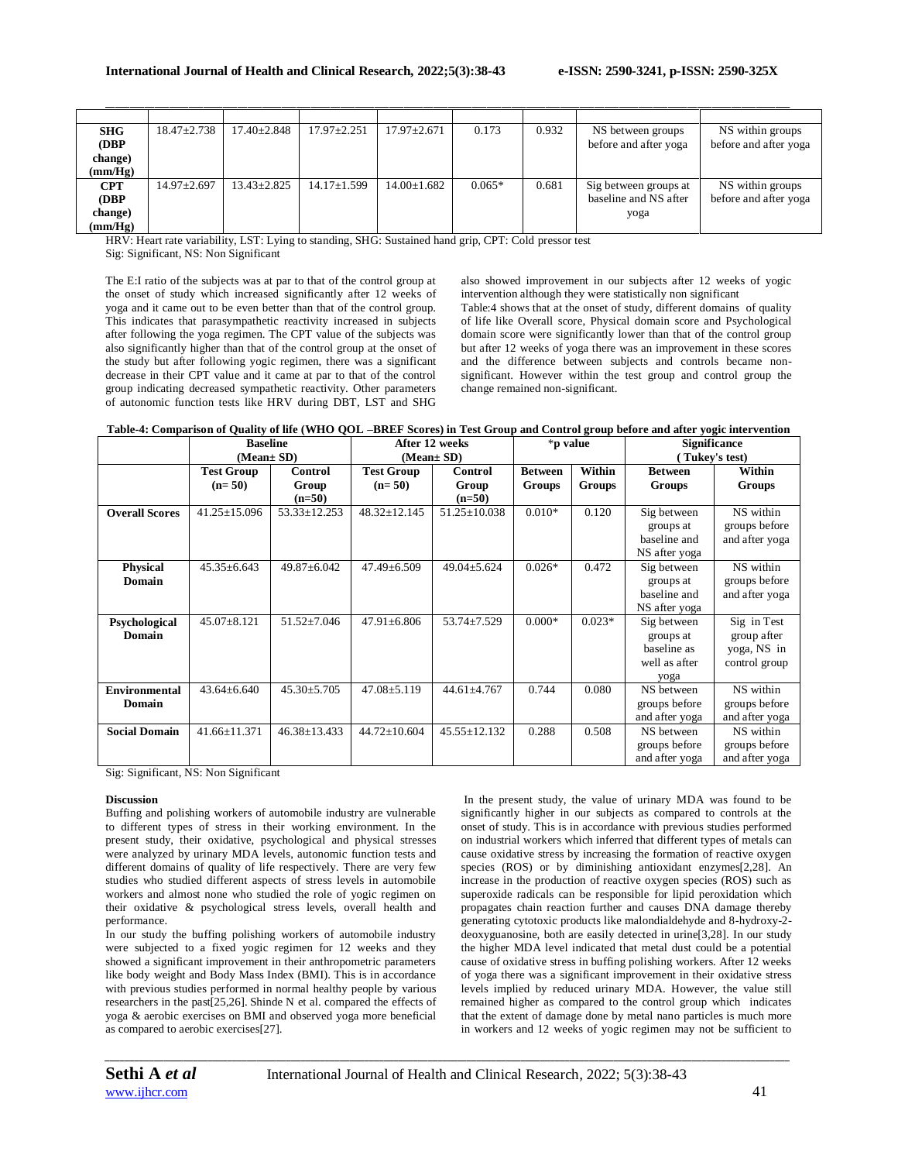| <b>SHG</b> | $18.47 \pm 2.738$ | $17.40 \pm 2.848$ | $17.97 \pm 2.251$ | $17.97 \pm 2.671$ | 0.173    | 0.932 | NS between groups     | NS within groups      |
|------------|-------------------|-------------------|-------------------|-------------------|----------|-------|-----------------------|-----------------------|
| (DBP)      |                   |                   |                   |                   |          |       | before and after yoga | before and after yoga |
| change)    |                   |                   |                   |                   |          |       |                       |                       |
| (mm/Hg)    |                   |                   |                   |                   |          |       |                       |                       |
| <b>CPT</b> | 14.97±2.697       | $13.43 \pm 2.825$ | $14.17 \pm 1.599$ | $14.00 \pm 1.682$ | $0.065*$ | 0.681 | Sig between groups at | NS within groups      |
| (DBP       |                   |                   |                   |                   |          |       | baseline and NS after | before and after yoga |
| change)    |                   |                   |                   |                   |          |       | yoga                  |                       |
| (mm/Hg)    |                   |                   |                   |                   |          |       |                       |                       |

\_\_\_\_\_\_\_\_\_\_\_\_\_\_\_\_\_\_\_\_\_\_\_\_\_\_\_\_\_\_\_\_\_\_\_\_\_\_\_\_\_\_\_\_\_\_\_\_\_\_\_\_\_\_\_\_\_\_\_\_\_\_\_\_\_\_\_\_\_\_\_\_\_\_\_\_\_\_\_\_\_\_\_\_\_\_\_\_\_\_\_\_\_\_\_\_\_\_\_\_\_\_\_\_\_\_\_\_\_\_\_\_\_\_\_\_\_\_\_\_\_\_\_\_\_\_\_\_\_\_\_\_\_\_\_\_\_\_\_\_

HRV: Heart rate variability, LST: Lying to standing, SHG: Sustained hand grip, CPT: Cold pressor test

Sig: Significant, NS: Non Significant

The E:I ratio of the subjects was at par to that of the control group at the onset of study which increased significantly after 12 weeks of yoga and it came out to be even better than that of the control group. This indicates that parasympathetic reactivity increased in subjects after following the yoga regimen. The CPT value of the subjects was also significantly higher than that of the control group at the onset of the study but after following yogic regimen, there was a significant decrease in their CPT value and it came at par to that of the control group indicating decreased sympathetic reactivity. Other parameters of autonomic function tests like HRV during DBT, LST and SHG

also showed improvement in our subjects after 12 weeks of yogic intervention although they were statistically non significant Table:4 shows that at the onset of study, different domains of quality of life like Overall score, Physical domain score and Psychological domain score were significantly lower than that of the control group but after 12 weeks of yoga there was an improvement in these scores and the difference between subjects and controls became nonsignificant. However within the test group and control group the change remained non-significant.

|                       | <b>Baseline</b>    |                    | After 12 weeks     |                    | *p value       |          | <b>Significance</b> |                |
|-----------------------|--------------------|--------------------|--------------------|--------------------|----------------|----------|---------------------|----------------|
|                       | (Mean± SD)         |                    |                    | (Mean± SD)         |                |          |                     | (Tukey's test) |
|                       | <b>Test Group</b>  | Control            | <b>Test Group</b>  | Control            | <b>Between</b> | Within   | <b>Between</b>      | Within         |
|                       | $(n=50)$           | Group              | $(n=50)$           | Group              | Groups         | Groups   | <b>Groups</b>       | <b>Groups</b>  |
|                       |                    | $(n=50)$           |                    | $(n=50)$           |                |          |                     |                |
| <b>Overall Scores</b> | $41.25 \pm 15.096$ | $53.33 \pm 12.253$ | $48.32 \pm 12.145$ | $51.25 \pm 10.038$ | $0.010*$       | 0.120    | Sig between         | NS within      |
|                       |                    |                    |                    |                    |                |          | groups at           | groups before  |
|                       |                    |                    |                    |                    |                |          | baseline and        | and after yoga |
|                       |                    |                    |                    |                    |                |          | NS after yoga       |                |
| <b>Physical</b>       | $45.35 \pm 6.643$  | $49.87 \pm 6.042$  | $47.49 \pm 6.509$  | $49.04 \pm 5.624$  | $0.026*$       | 0.472    | Sig between         | NS within      |
| Domain                |                    |                    |                    |                    |                |          | groups at           | groups before  |
|                       |                    |                    |                    |                    |                |          | baseline and        | and after yoga |
|                       |                    |                    |                    |                    |                |          | NS after yoga       |                |
| Psychological         | 45.07±8.121        | $51.52 \pm 7.046$  | $47.91 \pm 6.806$  | 53.74±7.529        | $0.000*$       | $0.023*$ | Sig between         | Sig in Test    |
| <b>Domain</b>         |                    |                    |                    |                    |                |          | groups at           | group after    |
|                       |                    |                    |                    |                    |                |          | baseline as         | yoga, NS in    |
|                       |                    |                    |                    |                    |                |          | well as after       | control group  |
|                       |                    |                    |                    |                    |                |          | yoga                |                |
| <b>Environmental</b>  | $43.64 \pm 6.640$  | $45.30 \pm 5.705$  | $47.08 \pm 5.119$  | $44.61 \pm 4.767$  | 0.744          | 0.080    | NS between          | NS within      |
| Domain                |                    |                    |                    |                    |                |          | groups before       | groups before  |
|                       |                    |                    |                    |                    |                |          | and after yoga      | and after yoga |
| <b>Social Domain</b>  | $41.66 \pm 11.371$ | $46.38 \pm 13.433$ | $44.72 \pm 10.604$ | $45.55 \pm 12.132$ | 0.288          | 0.508    | NS between          | NS within      |
|                       |                    |                    |                    |                    |                |          | groups before       | groups before  |
|                       |                    |                    |                    |                    |                |          | and after yoga      | and after yoga |

Sig: Significant, NS: Non Significant

#### **Discussion**

Buffing and polishing workers of automobile industry are vulnerable to different types of stress in their working environment. In the present study, their oxidative, psychological and physical stresses were analyzed by urinary MDA levels, autonomic function tests and different domains of quality of life respectively. There are very few studies who studied different aspects of stress levels in automobile workers and almost none who studied the role of yogic regimen on their oxidative & psychological stress levels, overall health and performance.

In our study the buffing polishing workers of automobile industry were subjected to a fixed yogic regimen for 12 weeks and they showed a significant improvement in their anthropometric parameters like body weight and Body Mass Index (BMI). This is in accordance with previous studies performed in normal healthy people by various researchers in the past[25,26]. Shinde N et al. compared the effects of yoga & aerobic exercises on BMI and observed yoga more beneficial as compared to aerobic exercises[27].

In the present study, the value of urinary MDA was found to be significantly higher in our subjects as compared to controls at the onset of study. This is in accordance with previous studies performed on industrial workers which inferred that different types of metals can cause oxidative stress by increasing the formation of reactive oxygen species (ROS) or by diminishing antioxidant enzymes[2,28]. An increase in the production of reactive oxygen species (ROS) such as superoxide radicals can be responsible for lipid peroxidation which propagates chain reaction further and causes DNA damage thereby generating cytotoxic products like malondialdehyde and 8-hydroxy-2 deoxyguanosine, both are easily detected in urine[3,28]. In our study the higher MDA level indicated that metal dust could be a potential cause of oxidative stress in buffing polishing workers. After 12 weeks of yoga there was a significant improvement in their oxidative stress levels implied by reduced urinary MDA. However, the value still remained higher as compared to the control group which indicates that the extent of damage done by metal nano particles is much more in workers and 12 weeks of yogic regimen may not be sufficient to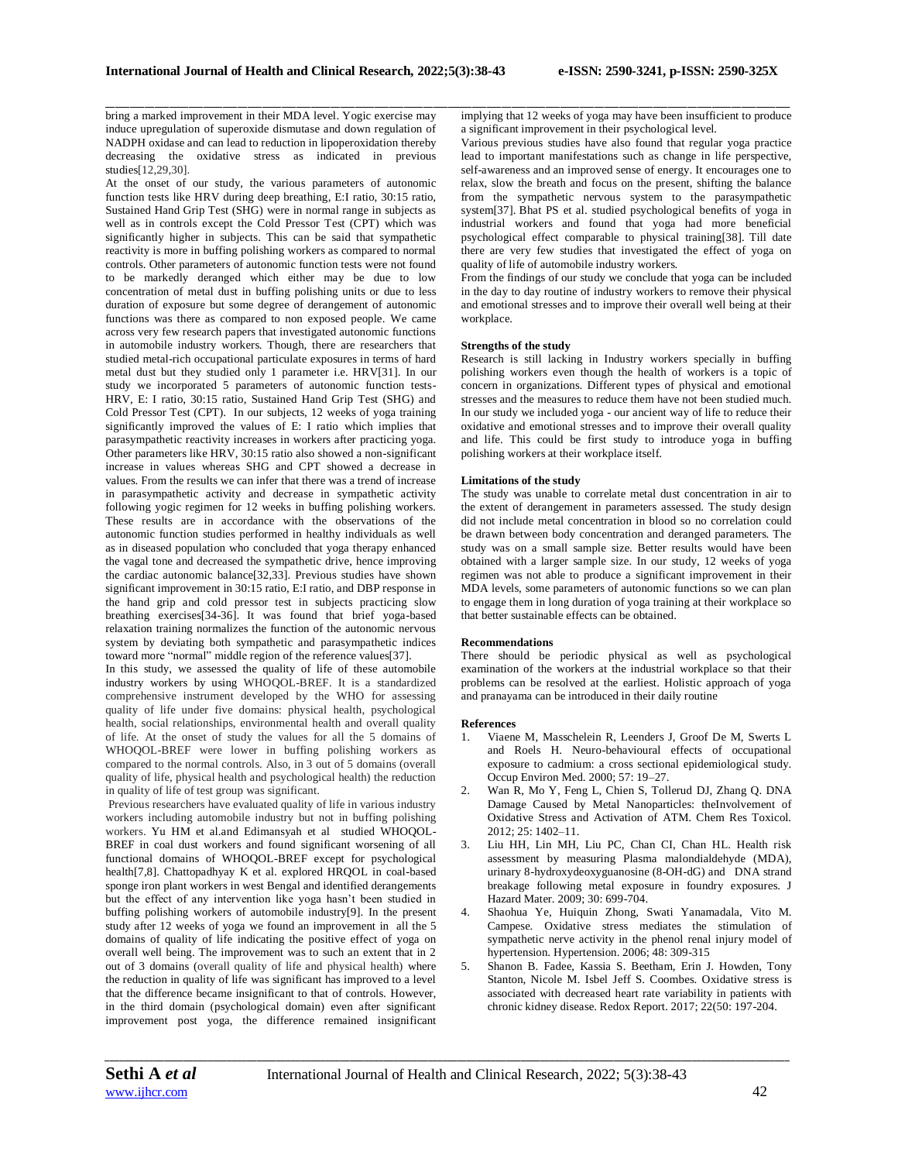bring a marked improvement in their MDA level. Yogic exercise may induce upregulation of superoxide dismutase and down regulation of NADPH oxidase and can lead to reduction in lipoperoxidation thereby decreasing the oxidative stress as indicated in previous studies[12,29,30].

At the onset of our study, the various parameters of autonomic function tests like HRV during deep breathing, E:I ratio, 30:15 ratio, Sustained Hand Grip Test (SHG) were in normal range in subjects as well as in controls except the Cold Pressor Test (CPT) which was significantly higher in subjects. This can be said that sympathetic reactivity is more in buffing polishing workers as compared to normal controls. Other parameters of autonomic function tests were not found to be markedly deranged which either may be due to low concentration of metal dust in buffing polishing units or due to less duration of exposure but some degree of derangement of autonomic functions was there as compared to non exposed people. We came across very few research papers that investigated autonomic functions in automobile industry workers. Though, there are researchers that studied metal-rich occupational particulate exposures in terms of hard metal dust but they studied only 1 parameter i.e. HRV[31]. In our study we incorporated 5 parameters of autonomic function tests-HRV, E: I ratio, 30:15 ratio, Sustained Hand Grip Test (SHG) and Cold Pressor Test (CPT). In our subjects, 12 weeks of yoga training significantly improved the values of E: I ratio which implies that parasympathetic reactivity increases in workers after practicing yoga. Other parameters like HRV, 30:15 ratio also showed a non-significant increase in values whereas SHG and CPT showed a decrease in values. From the results we can infer that there was a trend of increase in parasympathetic activity and decrease in sympathetic activity following yogic regimen for 12 weeks in buffing polishing workers. These results are in accordance with the observations of the autonomic function studies performed in healthy individuals as well as in diseased population who concluded that yoga therapy enhanced the vagal tone and decreased the sympathetic drive, hence improving the cardiac autonomic balance[32,33]. Previous studies have shown significant improvement in 30:15 ratio, E:I ratio, and DBP response in the hand grip and cold pressor test in subjects practicing slow breathing exercises[34-36]. It was found that brief yoga-based relaxation training normalizes the function of the autonomic nervous system by deviating both sympathetic and parasympathetic indices toward more "normal" middle region of the reference values[37].

In this study, we assessed the quality of life of these automobile industry workers by using WHOQOL-BREF. It is a standardized comprehensive instrument developed by the WHO for assessing quality of life under five domains: physical health, psychological health, social relationships, environmental health and overall quality of life. At the onset of study the values for all the 5 domains of WHOQOL-BREF were lower in buffing polishing workers as compared to the normal controls. Also, in 3 out of 5 domains (overall quality of life, physical health and psychological health) the reduction in quality of life of test group was significant.

Previous researchers have evaluated quality of life in various industry workers including automobile industry but not in buffing polishing workers. Yu HM et al.and Edimansyah et al studied WHOQOL-BREF in coal dust workers and found significant worsening of all functional domains of WHOQOL-BREF except for psychological health[7,8]. Chattopadhyay K et al. explored HRQOL in coal-based sponge iron plant workers in west Bengal and identified derangements but the effect of any intervention like yoga hasn't been studied in buffing polishing workers of automobile industry[9]. In the present study after 12 weeks of yoga we found an improvement in all the 5 domains of quality of life indicating the positive effect of yoga on overall well being. The improvement was to such an extent that in 2 out of 3 domains (overall quality of life and physical health) where the reduction in quality of life was significant has improved to a level that the difference became insignificant to that of controls. However, in the third domain (psychological domain) even after significant improvement post yoga, the difference remained insignificant implying that 12 weeks of yoga may have been insufficient to produce a significant improvement in their psychological level.

Various previous studies have also found that regular yoga practice lead to important manifestations such as change in life perspective, self-awareness and an improved sense of energy. It encourages one to relax, slow the breath and focus on the present, shifting the balance from the sympathetic nervous system to the parasympathetic system[37]. Bhat PS et al. studied psychological benefits of yoga in industrial workers and found that yoga had more beneficial psychological effect comparable to physical training[38]. Till date there are very few studies that investigated the effect of yoga on quality of life of automobile industry workers.

From the findings of our study we conclude that yoga can be included in the day to day routine of industry workers to remove their physical and emotional stresses and to improve their overall well being at their workplace.

#### **Strengths of the study**

\_\_\_\_\_\_\_\_\_\_\_\_\_\_\_\_\_\_\_\_\_\_\_\_\_\_\_\_\_\_\_\_\_\_\_\_\_\_\_\_\_\_\_\_\_\_\_\_\_\_\_\_\_\_\_\_\_\_\_\_\_\_\_\_\_\_\_\_\_\_\_\_\_\_\_\_\_\_\_\_\_\_\_\_\_\_\_\_\_\_\_\_\_\_\_\_\_\_\_\_\_\_\_\_\_\_\_\_\_\_\_\_\_\_\_\_\_\_\_\_\_\_\_\_\_\_\_\_\_\_\_\_\_\_\_\_\_\_\_\_

Research is still lacking in Industry workers specially in buffing polishing workers even though the health of workers is a topic of concern in organizations. Different types of physical and emotional stresses and the measures to reduce them have not been studied much. In our study we included yoga - our ancient way of life to reduce their oxidative and emotional stresses and to improve their overall quality and life. This could be first study to introduce yoga in buffing polishing workers at their workplace itself.

#### **Limitations of the study**

The study was unable to correlate metal dust concentration in air to the extent of derangement in parameters assessed. The study design did not include metal concentration in blood so no correlation could be drawn between body concentration and deranged parameters. The study was on a small sample size. Better results would have been obtained with a larger sample size. In our study, 12 weeks of yoga regimen was not able to produce a significant improvement in their MDA levels, some parameters of autonomic functions so we can plan to engage them in long duration of yoga training at their workplace so that better sustainable effects can be obtained.

#### **Recommendations**

There should be periodic physical as well as psychological examination of the workers at the industrial workplace so that their problems can be resolved at the earliest. Holistic approach of yoga and pranayama can be introduced in their daily routine

#### **References**

- 1. Viaene M, Masschelein R, Leenders J, Groof De M, Swerts L and Roels H. Neuro-behavioural effects of occupational exposure to cadmium: a cross sectional epidemiological study. Occup Environ Med. 2000; 57: 19–27.
- 2. Wan R, Mo Y, Feng L, Chien S, Tollerud DJ, Zhang Q. DNA Damage Caused by Metal Nanoparticles: theInvolvement of Oxidative Stress and Activation of ATM. Chem Res Toxicol. 2012; 25: 1402–11.
- 3. Liu HH, Lin MH, Liu PC, Chan CI, Chan HL. Health risk assessment by measuring Plasma malondialdehyde (MDA), urinary 8-hydroxydeoxyguanosine (8-OH-dG) and DNA strand breakage following metal exposure in foundry exposures. J Hazard Mater. 2009; 30: 699-704.
- 4. Shaohua Ye, Huiquin Zhong, Swati Yanamadala, Vito M. Campese. Oxidative stress mediates the stimulation of sympathetic nerve activity in the phenol renal injury model of hypertension. Hypertension. 2006; 48: 309-315
- 5. Shanon B. Fadee, Kassia S. Beetham, Erin J. Howden, Tony Stanton, Nicole M. Isbel Jeff S. Coombes. Oxidative stress is associated with decreased heart rate variability in patients with chronic kidney disease. Redox Report. 2017; 22(50: 197-204.